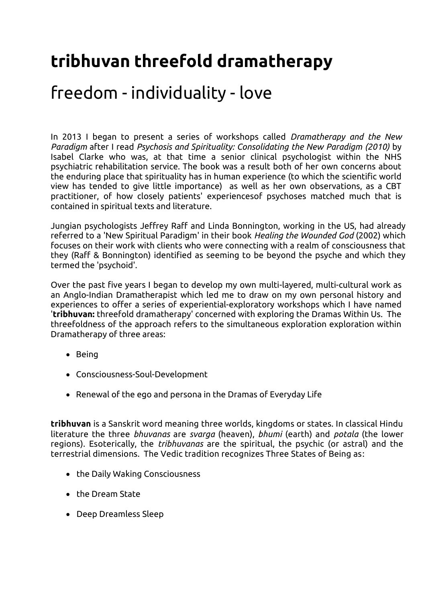## **tribhuvan threefold dramatherapy**

## freedom - individuality - love

In 2013 I began to present a series of workshops called *Dramatherapy and the New Paradigm* after I read *Psychosis and Spirituality: Consolidating the New Paradigm (2010)* by Isabel Clarke who was, at that time a senior clinical psychologist within the NHS psychiatric rehabilitation service. The book was a result both of her own concerns about the enduring place that spirituality has in human experience (to which the scientific world view has tended to give little importance) as well as her own observations, as a CBT practitioner, of how closely patients' experiencesof psychoses matched much that is contained in spiritual texts and literature.

Jungian psychologists Jeffrey Raff and Linda Bonnington, working in the US, had already referred to a 'New Spiritual Paradigm' in their book *Healing the Wounded God* (2002) which focuses on their work with clients who were connecting with a realm of consciousness that they (Raff & Bonnington) identified as seeming to be beyond the psyche and which they termed the 'psychoid'.

Over the past five years I began to develop my own multi-layered, multi-cultural work as an Anglo-Indian Dramatherapist which led me to draw on my own personal history and experiences to offer a series of experiential-exploratory workshops which I have named '**tribhuvan:** threefold dramatherapy' concerned with exploring the Dramas Within Us. The threefoldness of the approach refers to the simultaneous exploration exploration within Dramatherapy of three areas:

- Being
- Consciousness-Soul-Development
- Renewal of the ego and persona in the Dramas of Everyday Life

**tribhuvan** is a Sanskrit word meaning three worlds, kingdoms or states. In classical Hindu literature the three *bhuvanas* are *svarga* (heaven), *bhumi* (earth) and *potala* (the lower regions). Esoterically, the *tribhuvanas* are the spiritual, the psychic (or astral) and the terrestrial dimensions. The Vedic tradition recognizes Three States of Being as:

- the Daily Waking Consciousness
- the Dream State
- Deep Dreamless Sleep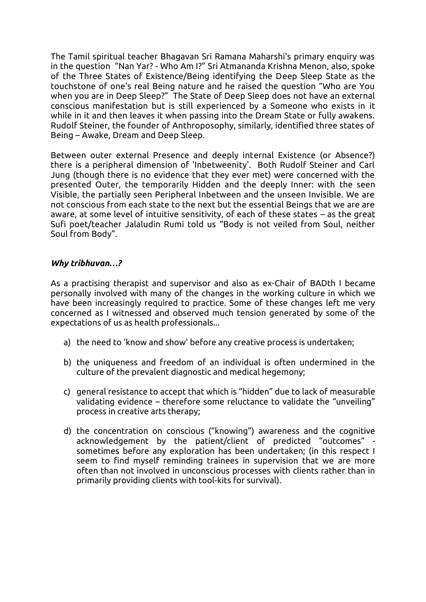The Tamil spiritual teacher Bhagavan Sri Ramana Maharshi's primary enquiry was in the question "Nan Yar? - Who Am I?" Sri Atmananda Krishna Menon, also, spoke of the Three States of Existence/Being identifying the Deep Sleep State as the touchstone of one's real Being nature and he raised the question "Who are You when you are in Deep Sleep?"The State of Deep Sleep does not have an external conscious manifestation but is still experienced by a Someone who exists in it while in it and then leaves it when passing into the Dream State or fully awakens. Rudolf Steiner, the founder of Anthroposophy, similarly, identified three states of Being – Awake, Dream and Deep Sleep.

Between outer external Presence and deeply internal Existence (or Absence?) there is a peripheral dimension of 'Inbetweenity'. Both Rudolf Steiner and Carl Jung (though there is no evidence that they ever met) were concerned with the presented Outer, the temporarily Hidden and the deeply Inner: with the seen Visible, the partially seen Peripheral Inbetween and the unseen Invisible. We are not conscious from each state to the next but the essential Beings that we are are aware, at some level of intuitive sensitivity, of each of these states – as the great Sufi poet/teacher Jalaludin Rumi told us "Body is not veiled from Soul, neither Soul from Body".

## *Why tribhuvan…?*

As a practising therapist and supervisor and also as ex-Chair of BADth I became personally involved with many of the changes in the working culture in which we have been increasingly required to practice. Some of these changes left me very concerned as I witnessed and observed much tension generated by some of the expectations of us as health professionals...

- a) the need to 'know and show' before any creative process is undertaken;
- b) the uniqueness and freedom of an individual is often undermined in the culture of the prevalent diagnostic and medical hegemony;
- c) general resistance to accept that which is "hidden" due to lack of measurable validating evidence – therefore some reluctance to validate the "unveiling" process in creative arts therapy;
- d) the concentration on conscious ("knowing") awareness and the cognitive acknowledgement by the patient/client of predicted "outcomes" sometimes before any exploration has been undertaken; (in this respect I seem to find myself reminding trainees in supervision that we are more often than not involved in unconscious processes with clients rather than in primarily providing clients with tool-kits for survival).